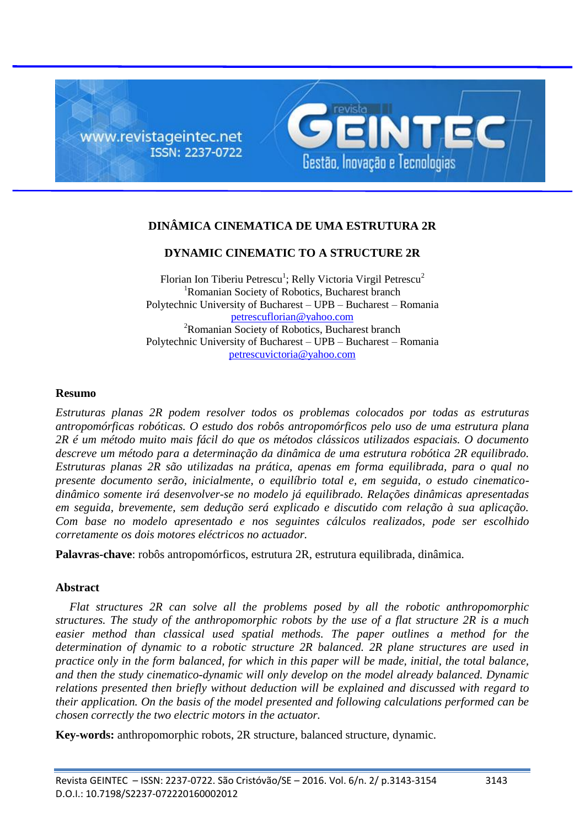

# **DINÂMICA CINEMATICA DE UMA ESTRUTURA 2R**

# **DYNAMIC CINEMATIC TO A STRUCTURE 2R**

Florian Ion Tiberiu Petrescu<sup>1</sup>; Relly Victoria Virgil Petrescu<sup>2</sup> <sup>1</sup>Romanian Society of Robotics, Bucharest branch Polytechnic University of Bucharest – UPB – Bucharest – Romania petrescuflorian@yahoo.com <sup>2</sup>Romanian Society of Robotics, Bucharest branch Polytechnic University of Bucharest – UPB – Bucharest – Romania petrescuvictoria@yahoo.com

#### **Resumo**

*Estruturas planas 2R podem resolver todos os problemas colocados por todas as estruturas antropomórficas robóticas. O estudo dos robôs antropomórficos pelo uso de uma estrutura plana 2R é um método muito mais fácil do que os métodos clássicos utilizados espaciais. O documento descreve um método para a determinação da dinâmica de uma estrutura robótica 2R equilibrado. Estruturas planas 2R são utilizadas na prática, apenas em forma equilibrada, para o qual no presente documento serão, inicialmente, o equilíbrio total e, em seguida, o estudo cinematicodinâmico somente irá desenvolver-se no modelo já equilibrado. Relações dinâmicas apresentadas em seguida, brevemente, sem dedução será explicado e discutido com relação à sua aplicação. Com base no modelo apresentado e nos seguintes cálculos realizados, pode ser escolhido corretamente os dois motores eléctricos no actuador.*

**Palavras-chave**: robôs antropomórficos, estrutura 2R, estrutura equilibrada, dinâmica.

### **Abstract**

*Flat structures 2R can solve all the problems posed by all the robotic anthropomorphic structures. The study of the anthropomorphic robots by the use of a flat structure 2R is a much easier method than classical used spatial methods. The paper outlines a method for the determination of dynamic to a robotic structure 2R balanced. 2R plane structures are used in practice only in the form balanced, for which in this paper will be made, initial, the total balance, and then the study cinematico-dynamic will only develop on the model already balanced. Dynamic relations presented then briefly without deduction will be explained and discussed with regard to their application. On the basis of the model presented and following calculations performed can be chosen correctly the two electric motors in the actuator.*

**Key-words:** anthropomorphic robots, 2R structure, balanced structure, dynamic.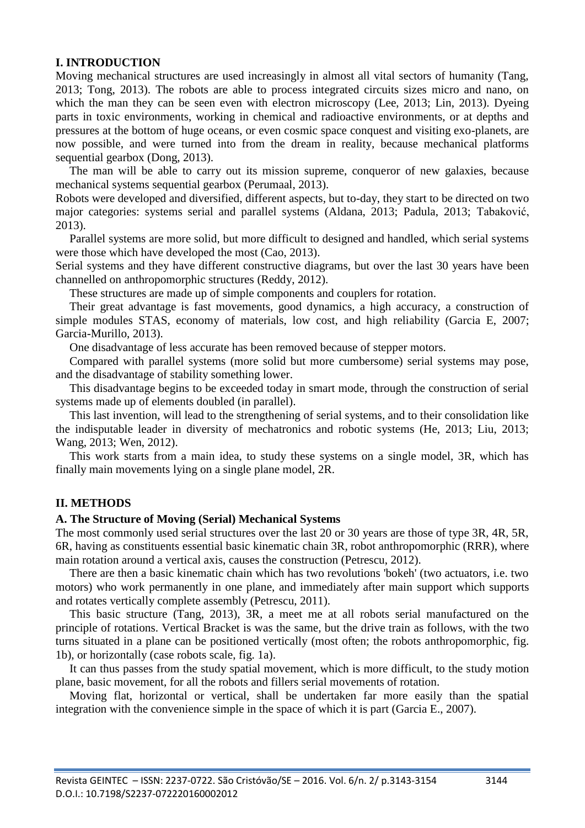### **I. INTRODUCTION**

Moving mechanical structures are used increasingly in almost all vital sectors of humanity (Tang, 2013; Tong, 2013). The robots are able to process integrated circuits sizes micro and nano, on which the man they can be seen even with electron microscopy (Lee, 2013; Lin, 2013). Dyeing parts in toxic environments, working in chemical and radioactive environments, or at depths and pressures at the bottom of huge oceans, or even cosmic space conquest and visiting exo-planets, are now possible, and were turned into from the dream in reality, because mechanical platforms sequential gearbox (Dong, 2013).

The man will be able to carry out its mission supreme, conqueror of new galaxies, because mechanical systems sequential gearbox (Perumaal, 2013).

Robots were developed and diversified, different aspects, but to-day, they start to be directed on two major categories: systems serial and parallel systems (Aldana, 2013; Padula, 2013; Tabaković, 2013).

Parallel systems are more solid, but more difficult to designed and handled, which serial systems were those which have developed the most (Cao, 2013).

Serial systems and they have different constructive diagrams, but over the last 30 years have been channelled on anthropomorphic structures (Reddy, 2012).

These structures are made up of simple components and couplers for rotation.

Their great advantage is fast movements, good dynamics, a high accuracy, a construction of simple modules STAS, economy of materials, low cost, and high reliability (Garcia E, 2007; Garcia-Murillo, 2013).

One disadvantage of less accurate has been removed because of stepper motors.

Compared with parallel systems (more solid but more cumbersome) serial systems may pose, and the disadvantage of stability something lower.

This disadvantage begins to be exceeded today in smart mode, through the construction of serial systems made up of elements doubled (in parallel).

This last invention, will lead to the strengthening of serial systems, and to their consolidation like the indisputable leader in diversity of mechatronics and robotic systems (He, 2013; Liu, 2013; Wang, 2013; Wen, 2012).

This work starts from a main idea, to study these systems on a single model, 3R, which has finally main movements lying on a single plane model, 2R.

# **II. METHODS**

### **A. The Structure of Moving (Serial) Mechanical Systems**

The most commonly used serial structures over the last 20 or 30 years are those of type 3R, 4R, 5R, 6R, having as constituents essential basic kinematic chain 3R, robot anthropomorphic (RRR), where main rotation around a vertical axis, causes the construction (Petrescu, 2012).

There are then a basic kinematic chain which has two revolutions 'bokeh' (two actuators, i.e. two motors) who work permanently in one plane, and immediately after main support which supports and rotates vertically complete assembly (Petrescu, 2011).

This basic structure (Tang, 2013), 3R, a meet me at all robots serial manufactured on the principle of rotations. Vertical Bracket is was the same, but the drive train as follows, with the two turns situated in a plane can be positioned vertically (most often; the robots anthropomorphic, fig. 1b), or horizontally (case robots scale, fig. 1a).

It can thus passes from the study spatial movement, which is more difficult, to the study motion plane, basic movement, for all the robots and fillers serial movements of rotation.

Moving flat, horizontal or vertical, shall be undertaken far more easily than the spatial integration with the convenience simple in the space of which it is part (Garcia E., 2007).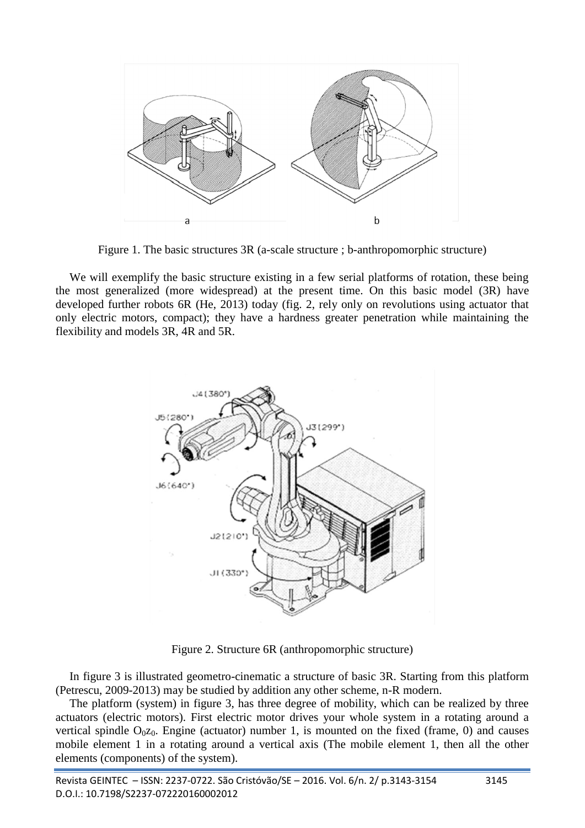

Figure 1. The basic structures 3R (a-scale structure ; b-anthropomorphic structure)

We will exemplify the basic structure existing in a few serial platforms of rotation, these being the most generalized (more widespread) at the present time. On this basic model (3R) have developed further robots 6R (He, 2013) today (fig. 2, rely only on revolutions using actuator that only electric motors, compact); they have a hardness greater penetration while maintaining the flexibility and models 3R, 4R and 5R.



Figure 2. Structure 6R (anthropomorphic structure)

In figure 3 is illustrated geometro-cinematic a structure of basic 3R. Starting from this platform (Petrescu, 2009-2013) may be studied by addition any other scheme, n-R modern.

The platform (system) in figure 3, has three degree of mobility, which can be realized by three actuators (electric motors). First electric motor drives your whole system in a rotating around a vertical spindle  $O<sub>0</sub>z<sub>0</sub>$ . Engine (actuator) number 1, is mounted on the fixed (frame, 0) and causes mobile element 1 in a rotating around a vertical axis (The mobile element 1, then all the other elements (components) of the system).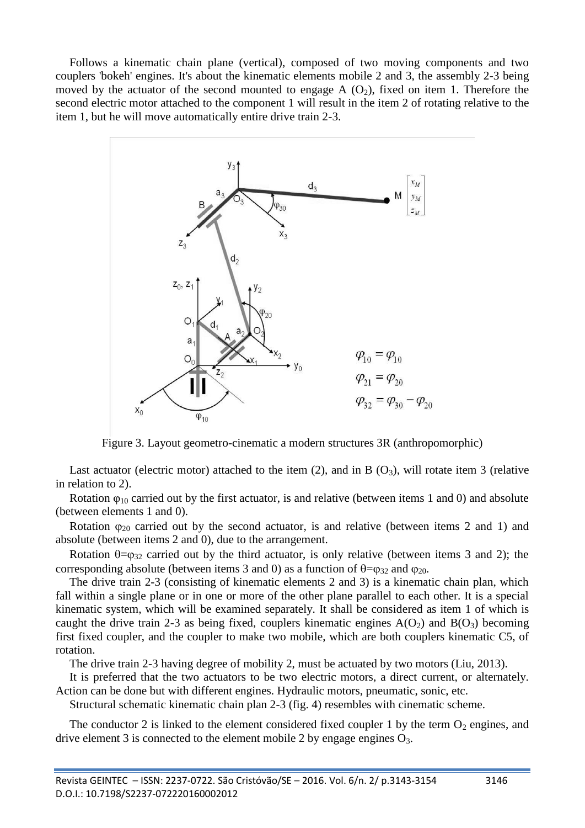Follows a kinematic chain plane (vertical), composed of two moving components and two couplers 'bokeh' engines. It's about the kinematic elements mobile 2 and 3, the assembly 2-3 being moved by the actuator of the second mounted to engage A  $(O_2)$ , fixed on item 1. Therefore the second electric motor attached to the component 1 will result in the item 2 of rotating relative to the item 1, but he will move automatically entire drive train 2-3.



Figure 3. Layout geometro-cinematic a modern structures 3R (anthropomorphic)

Last actuator (electric motor) attached to the item  $(2)$ , and in B  $(O_3)$ , will rotate item 3 (relative in relation to 2).

Rotation  $\varphi_{10}$  carried out by the first actuator, is and relative (between items 1 and 0) and absolute (between elements 1 and 0).

Rotation  $\varphi_{20}$  carried out by the second actuator, is and relative (between items 2 and 1) and absolute (between items 2 and 0), due to the arrangement.

Rotation  $\theta = 0.32$  carried out by the third actuator, is only relative (between items 3 and 2); the corresponding absolute (between items 3 and 0) as a function of  $\theta = \varphi_{32}$  and  $\varphi_{20}$ .

The drive train 2-3 (consisting of kinematic elements 2 and 3) is a kinematic chain plan, which fall within a single plane or in one or more of the other plane parallel to each other. It is a special kinematic system, which will be examined separately. It shall be considered as item 1 of which is caught the drive train 2-3 as being fixed, couplers kinematic engines  $A(O_2)$  and  $B(O_3)$  becoming first fixed coupler, and the coupler to make two mobile, which are both couplers kinematic C5, of rotation.

The drive train 2-3 having degree of mobility 2, must be actuated by two motors (Liu, 2013).

It is preferred that the two actuators to be two electric motors, a direct current, or alternately. Action can be done but with different engines. Hydraulic motors, pneumatic, sonic, etc.

Structural schematic kinematic chain plan 2-3 (fig. 4) resembles with cinematic scheme.

The conductor 2 is linked to the element considered fixed coupler 1 by the term  $O_2$  engines, and drive element 3 is connected to the element mobile 2 by engage engines  $O_3$ .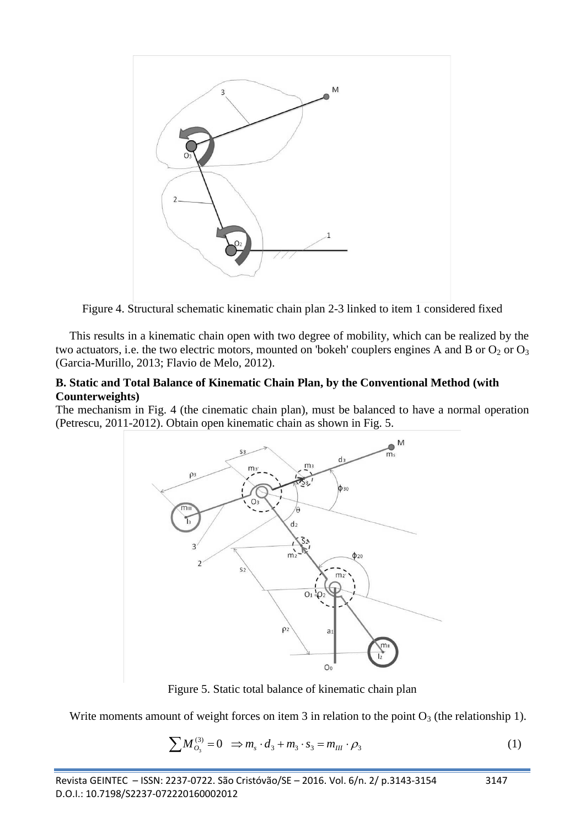

Figure 4. Structural schematic kinematic chain plan 2-3 linked to item 1 considered fixed

This results in a kinematic chain open with two degree of mobility, which can be realized by the two actuators, i.e. the two electric motors, mounted on 'bokeh' couplers engines A and B or  $O_2$  or  $O_3$ (Garcia-Murillo, 2013; Flavio de Melo, 2012).

### **B. Static and Total Balance of Kinematic Chain Plan, by the Conventional Method (with Counterweights)**

The mechanism in Fig. 4 (the cinematic chain plan), must be balanced to have a normal operation (Petrescu, 2011-2012). Obtain open kinematic chain as shown in Fig. 5.



Figure 5. Static total balance of kinematic chain plan

Write moments amount of weight forces on item 3 in relation to the point  $O_3$  (the relationship 1).

$$
\sum M_{O_3}^{(3)} = 0 \Rightarrow m_s \cdot d_3 + m_3 \cdot s_3 = m_{III} \cdot \rho_3 \tag{1}
$$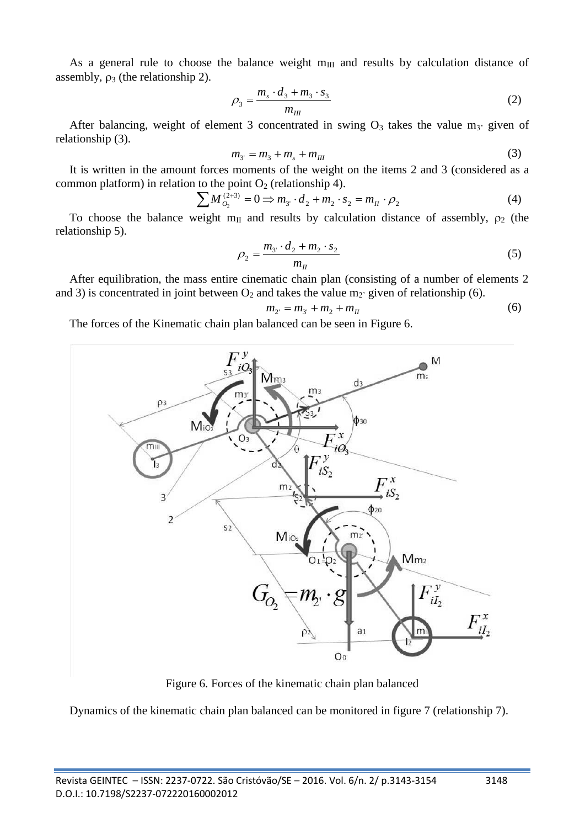As a general rule to choose the balance weight  $m_{III}$  and results by calculation distance of assembly,  $\rho_3$  (the relationship 2).

$$
\rho_3 = \frac{m_s \cdot d_3 + m_3 \cdot s_3}{m_{III}} \tag{2}
$$

After balancing, weight of element 3 concentrated in swing  $O_3$  takes the value m<sub>3</sub>' given of relationship (3).

$$
m_{3'} = m_3 + m_s + m_{III} \tag{3}
$$

It is written in the amount forces moments of the weight on the items 2 and 3 (considered as a common platform) in relation to the point  $O_2$  (relationship 4).

$$
\sum M_{O_2}^{(2+3)} = 0 \implies m_{3'} \cdot d_2 + m_2 \cdot s_2 = m_{II} \cdot \rho_2 \tag{4}
$$

To choose the balance weight  $m_{II}$  and results by calculation distance of assembly,  $\rho_2$  (the relationship 5).

$$
\rho_2 = \frac{m_{3} \cdot d_2 + m_2 \cdot s_2}{m_{II}} \tag{5}
$$

After equilibration, the mass entire cinematic chain plan (consisting of a number of elements 2 and 3) is concentrated in joint between  $O_2$  and takes the value m<sub>2</sub>' given of relationship (6).

$$
m_{2} = m_{3} + m_{2} + m_{II} \tag{6}
$$

The forces of the Kinematic chain plan balanced can be seen in Figure 6.



Figure 6. Forces of the kinematic chain plan balanced

Dynamics of the kinematic chain plan balanced can be monitored in figure 7 (relationship 7).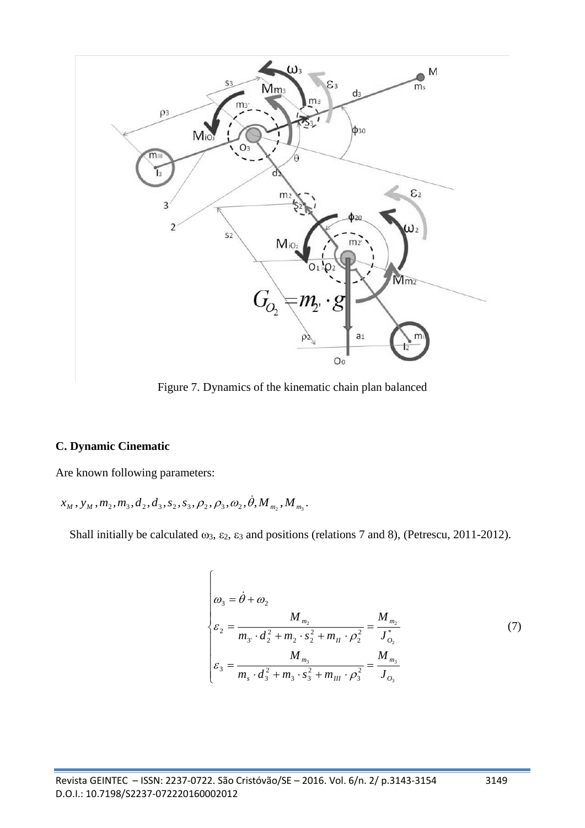

Figure 7. Dynamics of the kinematic chain plan balanced

### **C. Dynamic Cinematic**

Are known following parameters:

 $x_{M}$ ,  $y_{M}$ ,  $m_{2}$ ,  $m_{3}$ ,  $d_{2}$ ,  $d_{3}$ ,  $s_{2}$ ,  $s_{3}$ ,  $\rho_{2}$ ,  $\rho_{3}$ ,  $\omega_{2}$ ,  $\dot{\theta}$ ,  $M$ <sub>*m<sub>2</sub></sub>*,  $M$ <sub>*m<sub>3</sub></sub>*.</sub></sub>

Shall initially be calculated  $\omega_3$ ,  $\varepsilon_2$ ,  $\varepsilon_3$  and positions (relations 7 and 8), (Petrescu, 2011-2012).

$$
\begin{cases}\n\omega_3 = \dot{\theta} + \omega_2 \\
\varepsilon_2 = \frac{M_{m_2}}{m_3 \cdot d_2^2 + m_2 \cdot s_2^2 + m_{II} \cdot \rho_2^2} = \frac{M_{m_2}}{J_{o_2}^*} \\
\varepsilon_3 = \frac{M_{m_3}}{m_s \cdot d_3^2 + m_3 \cdot s_3^2 + m_{III} \cdot \rho_3^2} = \frac{M_{m_3}}{J_{o_3}}\n\end{cases} (7)
$$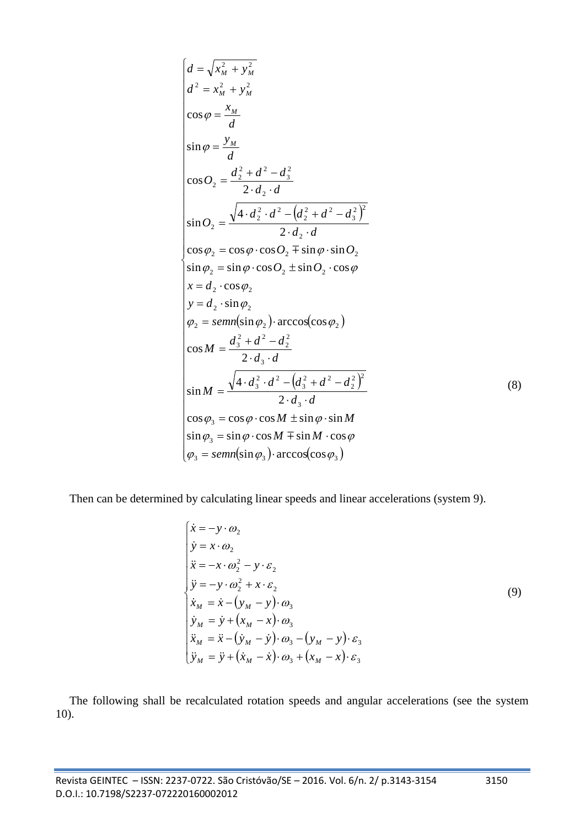$$
\begin{cases}\nd = \sqrt{x_M^2 + y_M^2} \\
d^2 = x_M^2 + y_M^2 \\
\cos \varphi = \frac{x_M}{d} \\
\sin \varphi = \frac{y_M}{d} \\
\cos O_2 = \frac{d_2^2 + d^2 - d_3^2}{2 \cdot d_2 \cdot d} \\
\sin O_2 = \frac{\sqrt{4 \cdot d_2^2 \cdot d^2 - (d_2^2 + d^2 - d_3^2)^2}}{2 \cdot d_2 \cdot d} \\
\cos \varphi_2 = \cos \varphi \cdot \cos O_2 \mp \sin \varphi \cdot \sin O_2 \\
\sin \varphi_2 = \sin \varphi \cdot \cos O_2 \pm \sin O_2 \cdot \cos \varphi \\
x = d_2 \cdot \cos \varphi_2 \\
y = d_2 \cdot \sin \varphi_2 \\
\varphi_2 = semn(\sin \varphi_2) \cdot \arccos(\cos \varphi_2) \\
\cos M = \frac{d_3^2 + d^2 - d_2^2}{2 \cdot d_3 \cdot d} \\
\sin M = \frac{\sqrt{4 \cdot d_3^2 \cdot d^2 - (d_3^2 + d^2 - d_2^2)^2}}{2 \cdot d_3 \cdot d} \\
\cos \varphi_3 = \cos \varphi \cdot \cos M \pm \sin \varphi \cdot \sin M \\
\sin \varphi_3 = \sin \varphi \cdot \cos M \mp \sin M \cdot \cos \varphi\n\varphi_3 = semn(\sin \varphi_3) \cdot \arccos(\cos \varphi_3)\n\end{cases} (8)
$$

Then can be determined by calculating linear speeds and linear accelerations (system 9).

$$
\begin{cases}\n\dot{x} = -y \cdot \omega_2 \\
\dot{y} = x \cdot \omega_2 \\
\ddot{x} = -x \cdot \omega_2^2 - y \cdot \varepsilon_2 \\
\ddot{y} = -y \cdot \omega_2^2 + x \cdot \varepsilon_2 \\
\dot{x}_M = \dot{x} - (y_M - y) \cdot \omega_3 \\
\dot{x}_M = \dot{y} + (x_M - x) \cdot \omega_3 \\
\ddot{x}_M = \ddot{x} - (\dot{y}_M - \dot{y}) \cdot \omega_3 - (y_M - y) \cdot \varepsilon_3 \\
\ddot{y}_M = \ddot{y} + (\dot{x}_M - \dot{x}) \cdot \omega_3 + (x_M - x) \cdot \varepsilon_3\n\end{cases}
$$
\n(9)

The following shall be recalculated rotation speeds and angular accelerations (see the system 10).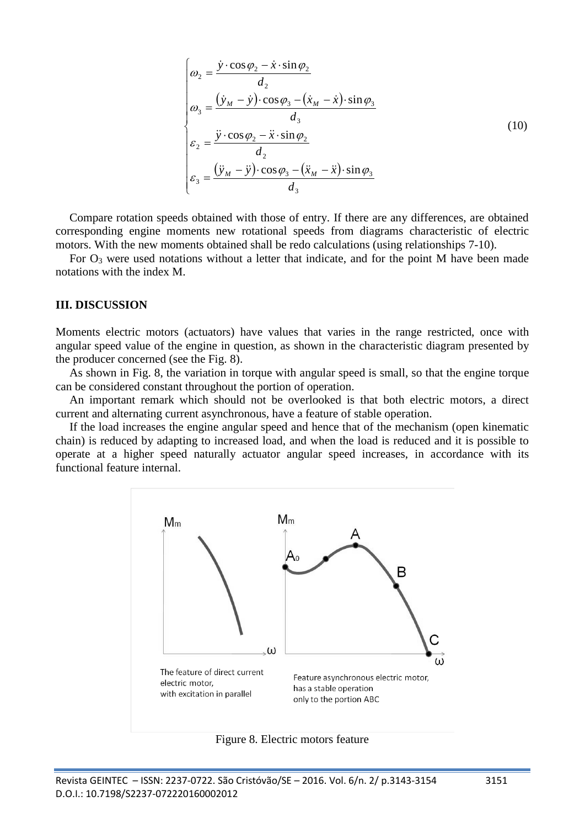$$
\begin{cases}\n\omega_2 = \frac{\dot{y} \cdot \cos \varphi_2 - \dot{x} \cdot \sin \varphi_2}{d_2} \\
\omega_3 = \frac{(\dot{y}_M - \dot{y}) \cdot \cos \varphi_3 - (\dot{x}_M - \dot{x}) \cdot \sin \varphi_3}{d_3} \\
\varepsilon_2 = \frac{\ddot{y} \cdot \cos \varphi_2 - \ddot{x} \cdot \sin \varphi_2}{d_2} \\
\varepsilon_3 = \frac{(\ddot{y}_M - \ddot{y}) \cdot \cos \varphi_3 - (\ddot{x}_M - \ddot{x}) \cdot \sin \varphi_3}{d_3}\n\end{cases}
$$
\n(10)

Compare rotation speeds obtained with those of entry. If there are any differences, are obtained corresponding engine moments new rotational speeds from diagrams characteristic of electric motors. With the new moments obtained shall be redo calculations (using relationships 7-10).

For  $O_3$  were used notations without a letter that indicate, and for the point M have been made notations with the index M.

#### **III. DISCUSSION**

Moments electric motors (actuators) have values that varies in the range restricted, once with angular speed value of the engine in question, as shown in the characteristic diagram presented by the producer concerned (see the Fig. 8).

As shown in Fig. 8, the variation in torque with angular speed is small, so that the engine torque can be considered constant throughout the portion of operation.

An important remark which should not be overlooked is that both electric motors, a direct current and alternating current asynchronous, have a feature of stable operation.

If the load increases the engine angular speed and hence that of the mechanism (open kinematic chain) is reduced by adapting to increased load, and when the load is reduced and it is possible to operate at a higher speed naturally actuator angular speed increases, in accordance with its functional feature internal.



Figure 8. Electric motors feature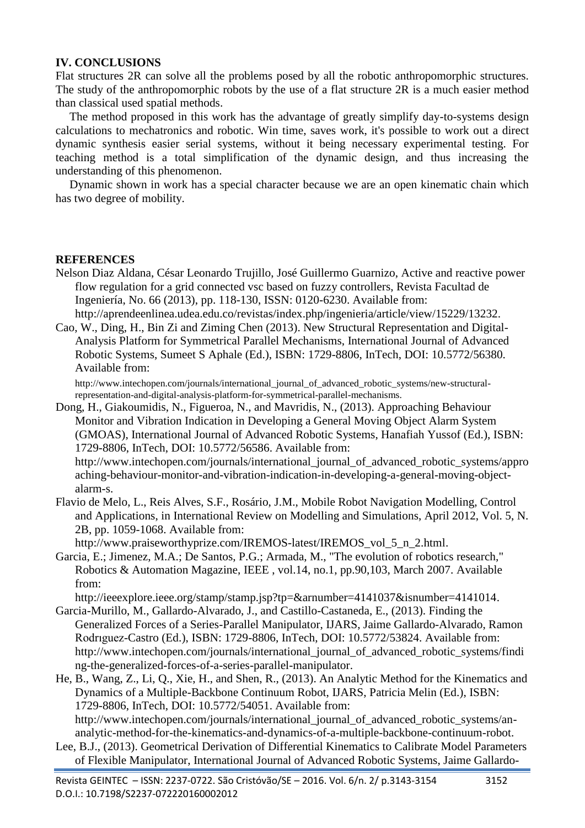# **IV. CONCLUSIONS**

Flat structures 2R can solve all the problems posed by all the robotic anthropomorphic structures. The study of the anthropomorphic robots by the use of a flat structure 2R is a much easier method than classical used spatial methods.

The method proposed in this work has the advantage of greatly simplify day-to-systems design calculations to mechatronics and robotic. Win time, saves work, it's possible to work out a direct dynamic synthesis easier serial systems, without it being necessary experimental testing. For teaching method is a total simplification of the dynamic design, and thus increasing the understanding of this phenomenon.

Dynamic shown in work has a special character because we are an open kinematic chain which has two degree of mobility.

### **REFERENCES**

Nelson Diaz Aldana, César Leonardo Trujillo, José Guillermo Guarnizo, Active and reactive power flow regulation for a grid connected vsc based on fuzzy controllers, Revista Facultad de Ingeniería, No. 66 (2013), pp. 118-130, ISSN: 0120-6230. Available from:

http://aprendeenlinea.udea.edu.co/revistas/index.php/ingenieria/article/view/15229/13232.

Cao, W., Ding, H., Bin Zi and Ziming Chen (2013). New Structural Representation and Digital-Analysis Platform for Symmetrical Parallel Mechanisms, International Journal of Advanced Robotic Systems, Sumeet S Aphale (Ed.), ISBN: 1729-8806, InTech, DOI: 10.5772/56380. Available from:

http://www.intechopen.com/journals/international\_journal\_of\_advanced\_robotic\_systems/new-structuralrepresentation-and-digital-analysis-platform-for-symmetrical-parallel-mechanisms.

Dong, H., Giakoumidis, N., Figueroa, N., and Mavridis, N., (2013). Approaching Behaviour Monitor and Vibration Indication in Developing a General Moving Object Alarm System (GMOAS), International Journal of Advanced Robotic Systems, Hanafiah Yussof (Ed.), ISBN: 1729-8806, InTech, DOI: 10.5772/56586. Available from:

http://www.intechopen.com/journals/international\_journal\_of\_advanced\_robotic\_systems/appro aching-behaviour-monitor-and-vibration-indication-in-developing-a-general-moving-objectalarm-s.

Flavio de Melo, L., Reis Alves, S.F., Rosário, J.M., Mobile Robot Navigation Modelling, Control and Applications, in International Review on Modelling and Simulations, April 2012, Vol. 5, N. 2B, pp. 1059-1068. Available from:

http://www.praiseworthyprize.com/IREMOS-latest/IREMOS\_vol\_5\_n\_2.html.

Garcia, E.; Jimenez, M.A.; De Santos, P.G.; Armada, M., "The evolution of robotics research," Robotics & Automation Magazine, IEEE , vol.14, no.1, pp.90,103, March 2007. Available from:

http://ieeexplore.ieee.org/stamp/stamp.jsp?tp=&arnumber=4141037&isnumber=4141014.

- Garcia-Murillo, M., Gallardo-Alvarado, J., and Castillo-Castaneda, E., (2013). Finding the Generalized Forces of a Series-Parallel Manipulator, IJARS, Jaime Gallardo-Alvarado, Ramon Rodrıguez-Castro (Ed.), ISBN: 1729-8806, InTech, DOI: 10.5772/53824. Available from: http://www.intechopen.com/journals/international\_journal\_of\_advanced\_robotic\_systems/findi ng-the-generalized-forces-of-a-series-parallel-manipulator.
- He, B., Wang, Z., Li, Q., Xie, H., and Shen, R., (2013). An Analytic Method for the Kinematics and Dynamics of a Multiple-Backbone Continuum Robot, IJARS, Patricia Melin (Ed.), ISBN: 1729-8806, InTech, DOI: 10.5772/54051. Available from: http://www.intechopen.com/journals/international\_journal\_of\_advanced\_robotic\_systems/an-

analytic-method-for-the-kinematics-and-dynamics-of-a-multiple-backbone-continuum-robot. Lee, B.J., (2013). Geometrical Derivation of Differential Kinematics to Calibrate Model Parameters

of Flexible Manipulator, International Journal of Advanced Robotic Systems, Jaime Gallardo-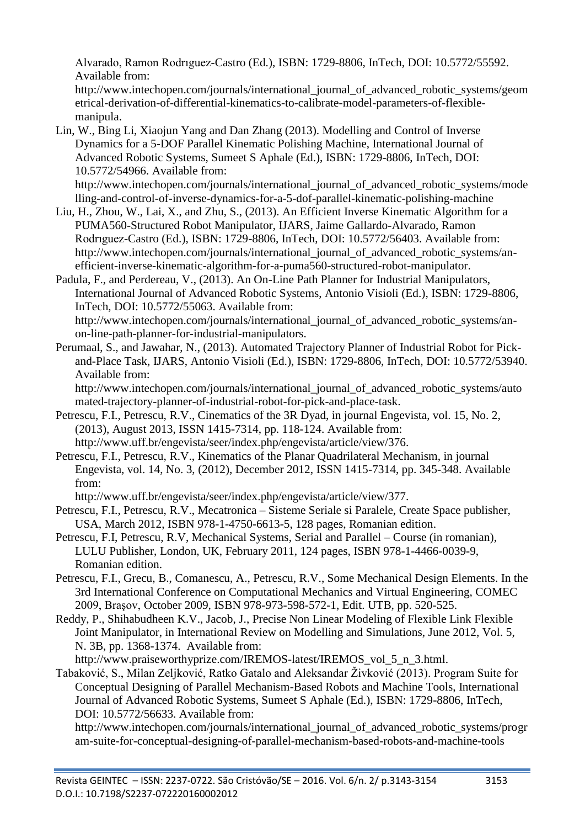Alvarado, Ramon Rodrıguez-Castro (Ed.), ISBN: 1729-8806, InTech, DOI: 10.5772/55592. Available from:

http://www.intechopen.com/journals/international\_journal\_of\_advanced\_robotic\_systems/geom etrical-derivation-of-differential-kinematics-to-calibrate-model-parameters-of-flexiblemanipula.

Lin, W., Bing Li, Xiaojun Yang and Dan Zhang (2013). Modelling and Control of Inverse Dynamics for a 5-DOF Parallel Kinematic Polishing Machine, International Journal of Advanced Robotic Systems, Sumeet S Aphale (Ed.), ISBN: 1729-8806, InTech, DOI: 10.5772/54966. Available from:

http://www.intechopen.com/journals/international\_journal\_of\_advanced\_robotic\_systems/mode lling-and-control-of-inverse-dynamics-for-a-5-dof-parallel-kinematic-polishing-machine

- Liu, H., Zhou, W., Lai, X., and Zhu, S., (2013). An Efficient Inverse Kinematic Algorithm for a PUMA560-Structured Robot Manipulator, IJARS, Jaime Gallardo-Alvarado, Ramon Rodrıguez-Castro (Ed.), ISBN: 1729-8806, InTech, DOI: 10.5772/56403. Available from: http://www.intechopen.com/journals/international\_journal\_of\_advanced\_robotic\_systems/anefficient-inverse-kinematic-algorithm-for-a-puma560-structured-robot-manipulator.
- Padula, F., and Perdereau, V., (2013). An On-Line Path Planner for Industrial Manipulators, International Journal of Advanced Robotic Systems, Antonio Visioli (Ed.), ISBN: 1729-8806, InTech, DOI: 10.5772/55063. Available from: http://www.intechopen.com/journals/international\_journal\_of\_advanced\_robotic\_systems/an-

on-line-path-planner-for-industrial-manipulators.

Perumaal, S., and Jawahar, N., (2013). Automated Trajectory Planner of Industrial Robot for Pickand-Place Task, IJARS, Antonio Visioli (Ed.), ISBN: 1729-8806, InTech, DOI: 10.5772/53940. Available from:

http://www.intechopen.com/journals/international\_journal\_of\_advanced\_robotic\_systems/auto mated-trajectory-planner-of-industrial-robot-for-pick-and-place-task.

- Petrescu, F.I., Petrescu, R.V., Cinematics of the 3R Dyad, in journal Engevista, vol. 15, No. 2, (2013), August 2013, ISSN 1415-7314, pp. 118-124. Available from: http://www.uff.br/engevista/seer/index.php/engevista/article/view/376.
- Petrescu, F.I., Petrescu, R.V., Kinematics of the Planar Quadrilateral Mechanism, in journal Engevista, vol. 14, No. 3, (2012), December 2012, ISSN 1415-7314, pp. 345-348. Available from:

http://www.uff.br/engevista/seer/index.php/engevista/article/view/377.

- Petrescu, F.I., Petrescu, R.V., Mecatronica Sisteme Seriale si Paralele, Create Space publisher, USA, March 2012, ISBN 978-1-4750-6613-5, 128 pages, Romanian edition.
- Petrescu, F.I, Petrescu, R.V, Mechanical Systems, Serial and Parallel Course (in romanian), LULU Publisher, London, UK, February 2011, 124 pages, ISBN 978-1-4466-0039-9, Romanian edition.
- Petrescu, F.I., Grecu, B., Comanescu, A., Petrescu, R.V., Some Mechanical Design Elements. In the 3rd International Conference on Computational Mechanics and Virtual Engineering, COMEC 2009, Braşov, October 2009, ISBN 978-973-598-572-1, Edit. UTB, pp. 520-525.
- Reddy, P., Shihabudheen K.V., Jacob, J., Precise Non Linear Modeling of Flexible Link Flexible Joint Manipulator, in International Review on Modelling and Simulations, June 2012, Vol. 5, N. 3B, pp. 1368-1374. Available from:

http://www.praiseworthyprize.com/IREMOS-latest/IREMOS\_vol\_5\_n\_3.html.

Tabaković, S., Milan Zeljković, Ratko Gatalo and Aleksandar Živković (2013). Program Suite for Conceptual Designing of Parallel Mechanism-Based Robots and Machine Tools, International Journal of Advanced Robotic Systems, Sumeet S Aphale (Ed.), ISBN: 1729-8806, InTech, DOI: 10.5772/56633. Available from:

http://www.intechopen.com/journals/international\_journal\_of\_advanced\_robotic\_systems/progr am-suite-for-conceptual-designing-of-parallel-mechanism-based-robots-and-machine-tools